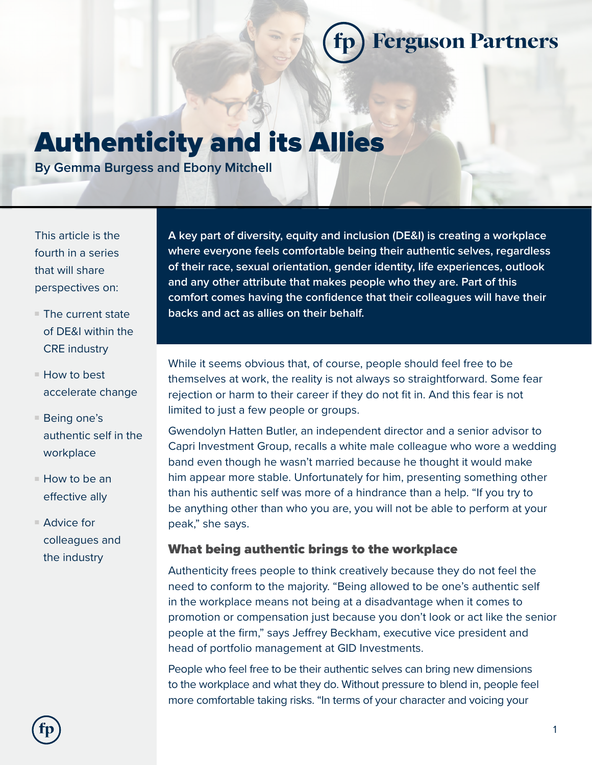**Ferguson Partners** 

## Authenticity and its Allies

**By Gemma Burgess and Ebony Mitchell**

This article is the fourth in a series that will share perspectives on:

- $\blacksquare$  The current state of DE&I within the CRE industry
- $\blacksquare$  How to best accelerate change
- $\blacksquare$  Being one's authentic self in the workplace
- $\blacksquare$  How to be an effective ally
- $\blacksquare$  Advice for colleagues and the industry

**A key part of diversity, equity and inclusion (DE&I) is creating a workplace where everyone feels comfortable being their authentic selves, regardless of their race, sexual orientation, gender identity, life experiences, outlook and any other attribute that makes people who they are. Part of this comfort comes having the confidence that their colleagues will have their backs and act as allies on their behalf.**

While it seems obvious that, of course, people should feel free to be themselves at work, the reality is not always so straightforward. Some fear rejection or harm to their career if they do not fit in. And this fear is not limited to just a few people or groups.

Gwendolyn Hatten Butler, an independent director and a senior advisor to Capri Investment Group, recalls a white male colleague who wore a wedding band even though he wasn't married because he thought it would make him appear more stable. Unfortunately for him, presenting something other than his authentic self was more of a hindrance than a help. "If you try to be anything other than who you are, you will not be able to perform at your peak," she says.

## What being authentic brings to the workplace

Authenticity frees people to think creatively because they do not feel the need to conform to the majority. "Being allowed to be one's authentic self in the workplace means not being at a disadvantage when it comes to promotion or compensation just because you don't look or act like the senior people at the firm," says Jeffrey Beckham, executive vice president and head of portfolio management at GID Investments.

People who feel free to be their authentic selves can bring new dimensions to the workplace and what they do. Without pressure to blend in, people feel more comfortable taking risks. "In terms of your character and voicing your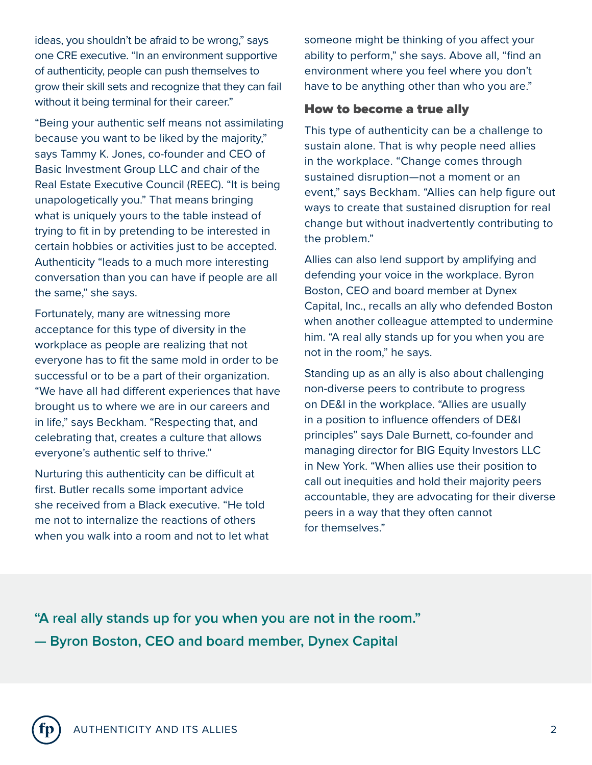ideas, you shouldn't be afraid to be wrong," says one CRE executive. "In an environment supportive of authenticity, people can push themselves to grow their skill sets and recognize that they can fail without it being terminal for their career."

"Being your authentic self means not assimilating because you want to be liked by the majority," says Tammy K. Jones, co-founder and CEO of Basic Investment Group LLC and chair of the Real Estate Executive Council (REEC). "It is being unapologetically you." That means bringing what is uniquely yours to the table instead of trying to fit in by pretending to be interested in certain hobbies or activities just to be accepted. Authenticity "leads to a much more interesting conversation than you can have if people are all the same," she says.

Fortunately, many are witnessing more acceptance for this type of diversity in the workplace as people are realizing that not everyone has to fit the same mold in order to be successful or to be a part of their organization. "We have all had different experiences that have brought us to where we are in our careers and in life," says Beckham. "Respecting that, and celebrating that, creates a culture that allows everyone's authentic self to thrive."

Nurturing this authenticity can be difficult at first. Butler recalls some important advice she received from a Black executive. "He told me not to internalize the reactions of others when you walk into a room and not to let what someone might be thinking of you affect your ability to perform," she says. Above all, "find an environment where you feel where you don't have to be anything other than who you are."

## How to become a true ally

This type of authenticity can be a challenge to sustain alone. That is why people need allies in the workplace. "Change comes through sustained disruption—not a moment or an event," says Beckham. "Allies can help figure out ways to create that sustained disruption for real change but without inadvertently contributing to the problem."

Allies can also lend support by amplifying and defending your voice in the workplace. Byron Boston, CEO and board member at Dynex Capital, Inc., recalls an ally who defended Boston when another colleague attempted to undermine him. "A real ally stands up for you when you are not in the room," he says.

Standing up as an ally is also about challenging non-diverse peers to contribute to progress on DE&I in the workplace. "Allies are usually in a position to influence offenders of DE&I principles" says Dale Burnett, co-founder and managing director for BIG Equity Investors LLC in New York. "When allies use their position to call out inequities and hold their majority peers accountable, they are advocating for their diverse peers in a way that they often cannot for themselves."

**"A real ally stands up for you when you are not in the room." — Byron Boston, CEO and board member, Dynex Capital**